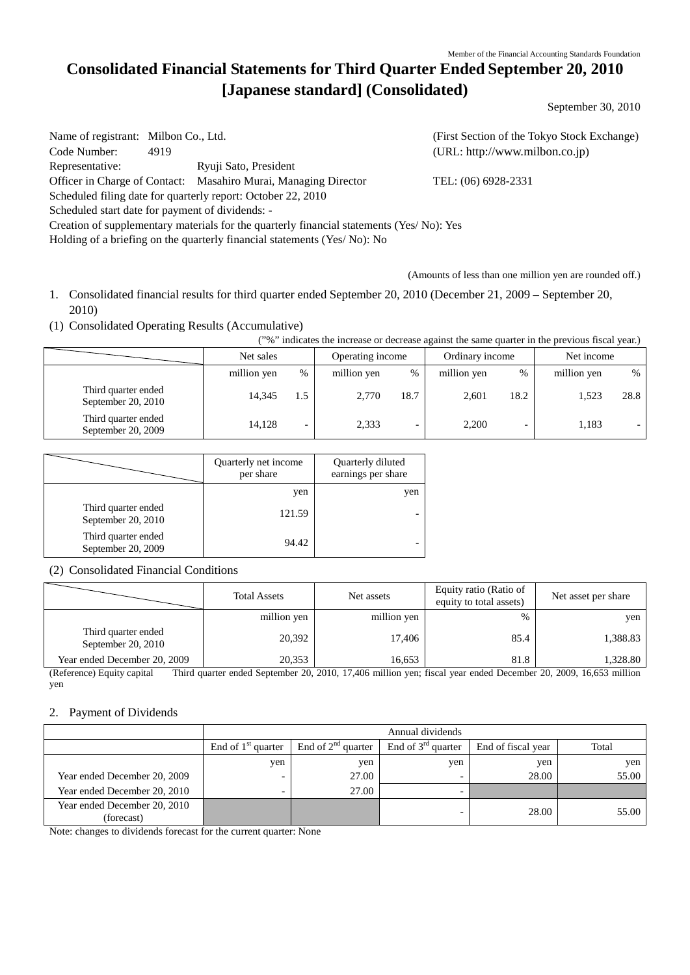# **Consolidated Financial Statements for Third Quarter Ended September 20, 2010 [Japanese standard] (Consolidated)**

September 30, 2010

Name of registrant: Milbon Co., Ltd. (First Section of the Tokyo Stock Exchange) Code Number: 4919 (URL: [http://www.milbon.co.jp\)](http://www.milbon.co.jp/) Representative: Ryuji Sato, President Officer in Charge of Contact: Masahiro Murai, Managing Director TEL: (06) 6928-2331 Scheduled filing date for quarterly report: October 22, 2010 Scheduled start date for payment of dividends: - Creation of supplementary materials for the quarterly financial statements (Yes/ No): Yes Holding of a briefing on the quarterly financial statements (Yes/ No): No

(Amounts of less than one million yen are rounded off.)

- 1. Consolidated financial results for third quarter ended September 20, 2010 (December 21, 2009 September 20, 2010)
- (1) Consolidated Operating Results (Accumulative)

("%" indicates the increase or decrease against the same quarter in the previous fiscal year.)

|                                             | Net sales   |                          | Operating income |      | Ordinary income |      | Net income  |      |
|---------------------------------------------|-------------|--------------------------|------------------|------|-----------------|------|-------------|------|
|                                             | million yen | $\%$                     | million yen      | %    | million yen     | $\%$ | million yen | $\%$ |
| Third quarter ended<br>September $20, 2010$ | 14.345      | $.5\,$                   | 2,770            | 18.7 | 2.601           | 18.2 | 1.523       | 28.8 |
| Third quarter ended<br>September 20, 2009   | 14.128      | $\overline{\phantom{0}}$ | 2,333            | -    | 2,200           |      | 1,183       |      |

|                                           | Quarterly net income<br>per share | Quarterly diluted<br>earnings per share |
|-------------------------------------------|-----------------------------------|-----------------------------------------|
|                                           | yen                               | yen                                     |
| Third quarter ended<br>September 20, 2010 | 121.59                            |                                         |
| Third quarter ended<br>September 20, 2009 | 94.42                             |                                         |

#### (2) Consolidated Financial Conditions

|                                             | <b>Total Assets</b> | Net assets  | Equity ratio (Ratio of<br>equity to total assets) | Net asset per share |
|---------------------------------------------|---------------------|-------------|---------------------------------------------------|---------------------|
|                                             | million yen         | million yen | %                                                 | yen                 |
| Third quarter ended<br>September 20, $2010$ | 20.392              | 17.406      | 85.4                                              | 1,388.83            |
| Year ended December 20, 2009                | 20.353              | 16.653      | 81.8                                              | 1,328.80            |

(Reference) Equity capital Third quarter ended September 20, 2010, 17,406 million yen; fiscal year ended December 20, 2009, 16,653 million yen

#### 2. Payment of Dividends

|                                            | Annual dividends     |                         |                         |                    |       |
|--------------------------------------------|----------------------|-------------------------|-------------------------|--------------------|-------|
|                                            | End of $1st$ quarter | End of $2^{nd}$ quarter | End of $3^{rd}$ quarter | End of fiscal year | Total |
|                                            | yen                  | yen                     | yen                     | yen                | yen   |
| Year ended December 20, 2009               |                      | 27.00                   |                         | 28.00              | 55.00 |
| Year ended December 20, 2010               |                      | 27.00                   |                         |                    |       |
| Year ended December 20, 2010<br>(forecast) |                      |                         |                         | 28.00              | 55.00 |

Note: changes to dividends forecast for the current quarter: None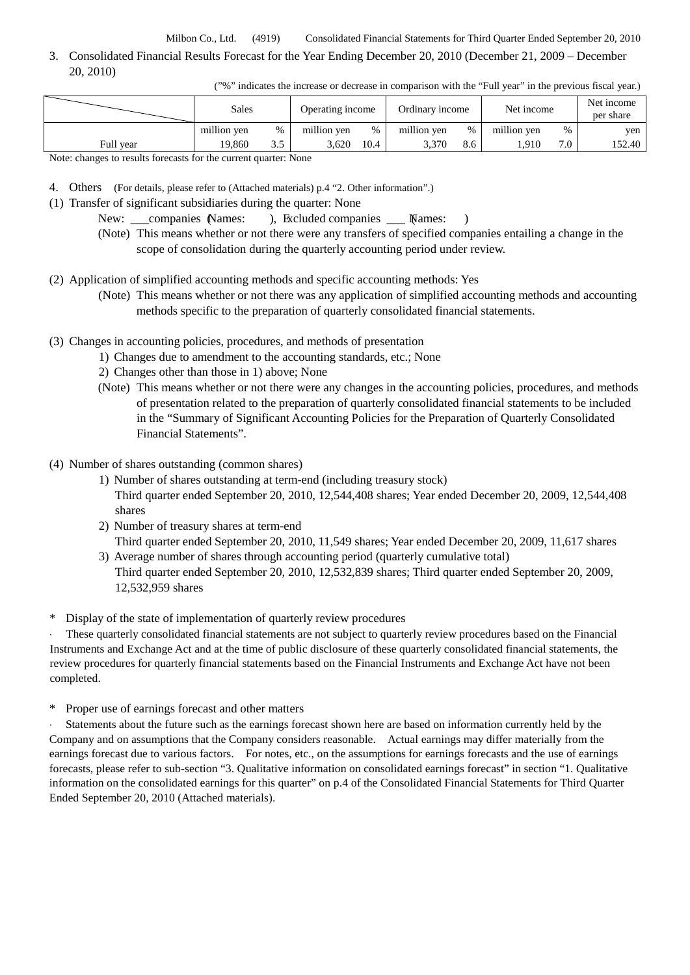3. Consolidated Financial Results Forecast for the Year Ending December 20, 2010 (December 21, 2009 – December 20, 2010)

|  |  | ("%" indicates the increase or decrease in comparison with the "Full year" in the previous fiscal year.) |
|--|--|----------------------------------------------------------------------------------------------------------|
|  |  |                                                                                                          |

|                                                                    | Sales       |      | Operating income |      | Ordinary income |      | Net income  |      | Net income<br>per share |
|--------------------------------------------------------------------|-------------|------|------------------|------|-----------------|------|-------------|------|-------------------------|
|                                                                    | million ven | $\%$ | million ven      | %    | million ven     | $\%$ | million ven | $\%$ | yen                     |
| Full year                                                          | 19.860      | ر. ر | 3.620            | 10.4 | 3.370           | 8.6  | .910        | 7.0  | 152.40                  |
| Note: abongas to results forecasts for the surrent suggester. None |             |      |                  |      |                 |      |             |      |                         |

Note: changes to results forecasts for the current quarter: None

- 4. Others (For details, please refer to (Attached materials) p.4 "2. Other information".)
- (1) Transfer of significant subsidiaries during the quarter: None
	- New: companies Names: ), Excluded companies Mames: )
	- (Note) This means whether or not there were any transfers of specified companies entailing a change in the scope of consolidation during the quarterly accounting period under review.
- (2) Application of simplified accounting methods and specific accounting methods: Yes
	- (Note) This means whether or not there was any application of simplified accounting methods and accounting methods specific to the preparation of quarterly consolidated financial statements.
- (3) Changes in accounting policies, procedures, and methods of presentation
	- 1) Changes due to amendment to the accounting standards, etc.; None
	- 2) Changes other than those in 1) above; None
	- (Note) This means whether or not there were any changes in the accounting policies, procedures, and methods of presentation related to the preparation of quarterly consolidated financial statements to be included in the "Summary of Significant Accounting Policies for the Preparation of Quarterly Consolidated Financial Statements".
- (4) Number of shares outstanding (common shares)
	- 1) Number of shares outstanding at term-end (including treasury stock) Third quarter ended September 20, 2010, 12,544,408 shares; Year ended December 20, 2009, 12,544,408 shares
	- 2) Number of treasury shares at term-end Third quarter ended September 20, 2010, 11,549 shares; Year ended December 20, 2009, 11,617 shares
	- 3) Average number of shares through accounting period (quarterly cumulative total) Third quarter ended September 20, 2010, 12,532,839 shares; Third quarter ended September 20, 2009, 12,532,959 shares
- \* Display of the state of implementation of quarterly review procedures

These quarterly consolidated financial statements are not subject to quarterly review procedures based on the Financial Instruments and Exchange Act and at the time of public disclosure of these quarterly consolidated financial statements, the review procedures for quarterly financial statements based on the Financial Instruments and Exchange Act have not been completed.

\* Proper use of earnings forecast and other matters

Statements about the future such as the earnings forecast shown here are based on information currently held by the Company and on assumptions that the Company considers reasonable. Actual earnings may differ materially from the earnings forecast due to various factors. For notes, etc., on the assumptions for earnings forecasts and the use of earnings forecasts, please refer to sub-section "3. Qualitative information on consolidated earnings forecast" in section "1. Qualitative information on the consolidated earnings for this quarter" on p.4 of the Consolidated Financial Statements for Third Quarter Ended September 20, 2010 (Attached materials).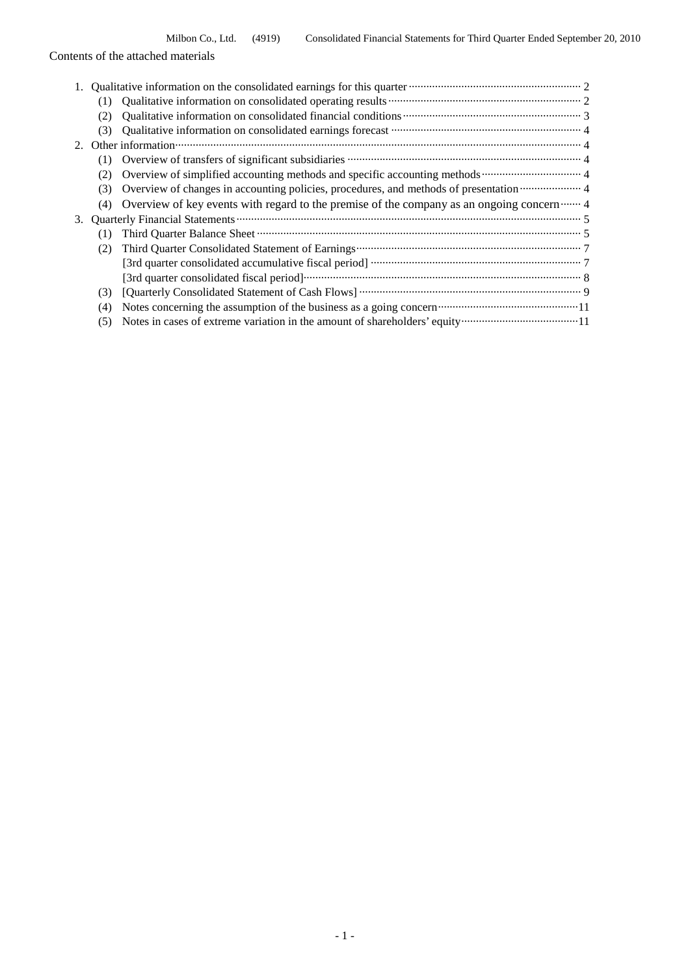|  | Contents of the attached materials |
|--|------------------------------------|
|  |                                    |

|    |     | Qualitative information on the consolidated earnings for this quarter <b>Constantine Constantine Constantine Constantine Constantine Constantine Constantine Constantine Constantine Constantine Constantine Constantine Constan</b> |
|----|-----|--------------------------------------------------------------------------------------------------------------------------------------------------------------------------------------------------------------------------------------|
|    | (1) |                                                                                                                                                                                                                                      |
|    | (2) | Qualitative information on consolidated financial conditions <b>constrained</b> and the set of 3                                                                                                                                     |
|    | (3) |                                                                                                                                                                                                                                      |
|    |     |                                                                                                                                                                                                                                      |
|    | (1) | Overview of transfers of significant subsidiaries <b>manufactures</b> and the system of transfers of significant subsidiaries <b>manufactures</b> .                                                                                  |
|    |     |                                                                                                                                                                                                                                      |
|    | (3) | Overview of changes in accounting policies, procedures, and methods of presentation manufacture 4                                                                                                                                    |
|    | (4) | Overview of key events with regard to the premise of the company as an ongoing concern  4                                                                                                                                            |
| 3. |     |                                                                                                                                                                                                                                      |
|    |     |                                                                                                                                                                                                                                      |
|    | (2) |                                                                                                                                                                                                                                      |
|    |     |                                                                                                                                                                                                                                      |
|    |     |                                                                                                                                                                                                                                      |
|    | (3) |                                                                                                                                                                                                                                      |
|    | (4) |                                                                                                                                                                                                                                      |
|    | (5) |                                                                                                                                                                                                                                      |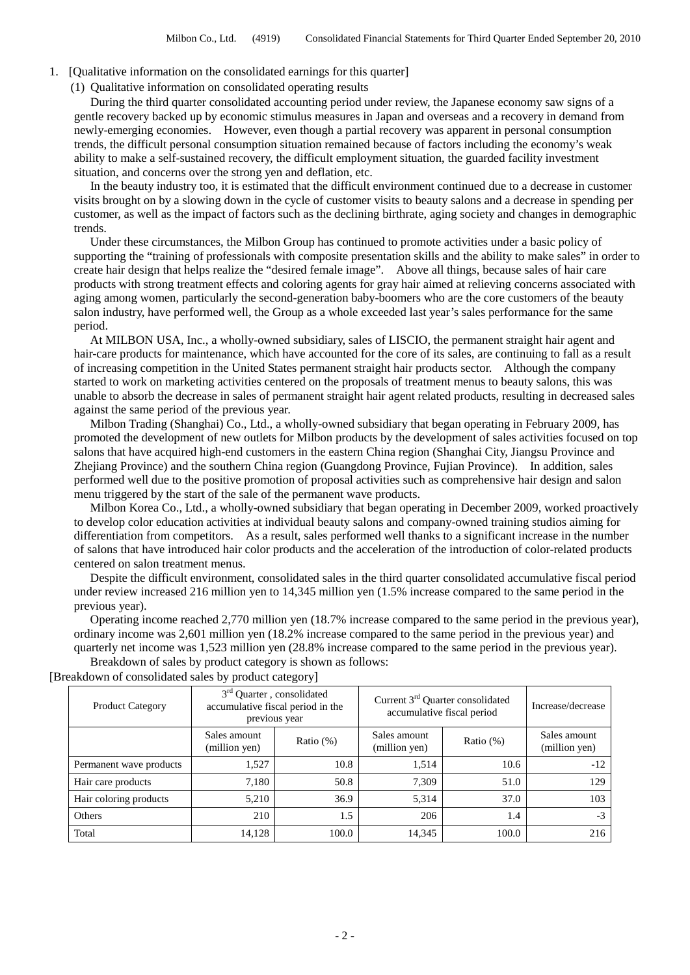- 1. [Qualitative information on the consolidated earnings for this quarter]
	- (1) Qualitative information on consolidated operating results

During the third quarter consolidated accounting period under review, the Japanese economy saw signs of a gentle recovery backed up by economic stimulus measures in Japan and overseas and a recovery in demand from newly-emerging economies. However, even though a partial recovery was apparent in personal consumption trends, the difficult personal consumption situation remained because of factors including the economy's weak ability to make a self-sustained recovery, the difficult employment situation, the guarded facility investment situation, and concerns over the strong yen and deflation, etc.

In the beauty industry too, it is estimated that the difficult environment continued due to a decrease in customer visits brought on by a slowing down in the cycle of customer visits to beauty salons and a decrease in spending per customer, as well as the impact of factors such as the declining birthrate, aging society and changes in demographic trends.

Under these circumstances, the Milbon Group has continued to promote activities under a basic policy of supporting the "training of professionals with composite presentation skills and the ability to make sales" in order to create hair design that helps realize the "desired female image". Above all things, because sales of hair care products with strong treatment effects and coloring agents for gray hair aimed at relieving concerns associated with aging among women, particularly the second-generation baby-boomers who are the core customers of the beauty salon industry, have performed well, the Group as a whole exceeded last year's sales performance for the same period.

At MILBON USA, Inc., a wholly-owned subsidiary, sales of LISCIO, the permanent straight hair agent and hair-care products for maintenance, which have accounted for the core of its sales, are continuing to fall as a result of increasing competition in the United States permanent straight hair products sector. Although the company started to work on marketing activities centered on the proposals of treatment menus to beauty salons, this was unable to absorb the decrease in sales of permanent straight hair agent related products, resulting in decreased sales against the same period of the previous year.

Milbon Trading (Shanghai) Co., Ltd., a wholly-owned subsidiary that began operating in February 2009, has promoted the development of new outlets for Milbon products by the development of sales activities focused on top salons that have acquired high-end customers in the eastern China region (Shanghai City, Jiangsu Province and Zhejiang Province) and the southern China region (Guangdong Province, Fujian Province). In addition, sales performed well due to the positive promotion of proposal activities such as comprehensive hair design and salon menu triggered by the start of the sale of the permanent wave products.

Milbon Korea Co., Ltd., a wholly-owned subsidiary that began operating in December 2009, worked proactively to develop color education activities at individual beauty salons and company-owned training studios aiming for differentiation from competitors. As a result, sales performed well thanks to a significant increase in the number of salons that have introduced hair color products and the acceleration of the introduction of color-related products centered on salon treatment menus.

Despite the difficult environment, consolidated sales in the third quarter consolidated accumulative fiscal period under review increased 216 million yen to 14,345 million yen (1.5% increase compared to the same period in the previous year).

Operating income reached 2,770 million yen (18.7% increase compared to the same period in the previous year), ordinary income was 2,601 million yen (18.2% increase compared to the same period in the previous year) and quarterly net income was 1,523 million yen (28.8% increase compared to the same period in the previous year).

Breakdown of sales by product category is shown as follows:

| <b>Product Category</b> | 3 <sup>rd</sup> Quarter, consolidated<br>accumulative fiscal period in the<br>previous year |              | Current 3rd Quarter consolidated<br>accumulative fiscal period | Increase/decrease |                               |
|-------------------------|---------------------------------------------------------------------------------------------|--------------|----------------------------------------------------------------|-------------------|-------------------------------|
|                         | Sales amount<br>(million yen)                                                               | Ratio $(\%)$ | Sales amount<br>(million yen)                                  | Ratio $(\%)$      | Sales amount<br>(million yen) |
| Permanent wave products | 1,527                                                                                       | 10.8         | 1,514                                                          | 10.6              | $-12$                         |
| Hair care products      | 7.180                                                                                       | 50.8         | 7,309                                                          | 51.0              | 129                           |
| Hair coloring products  | 5,210                                                                                       | 36.9         | 5,314                                                          | 37.0              | 103                           |
| Others                  | 210                                                                                         | 1.5          | 206                                                            | 1.4               | $-3$                          |
| Total                   | 14,128                                                                                      | 100.0        | 14,345                                                         | 100.0             | 216                           |

[Breakdown of consolidated sales by product category]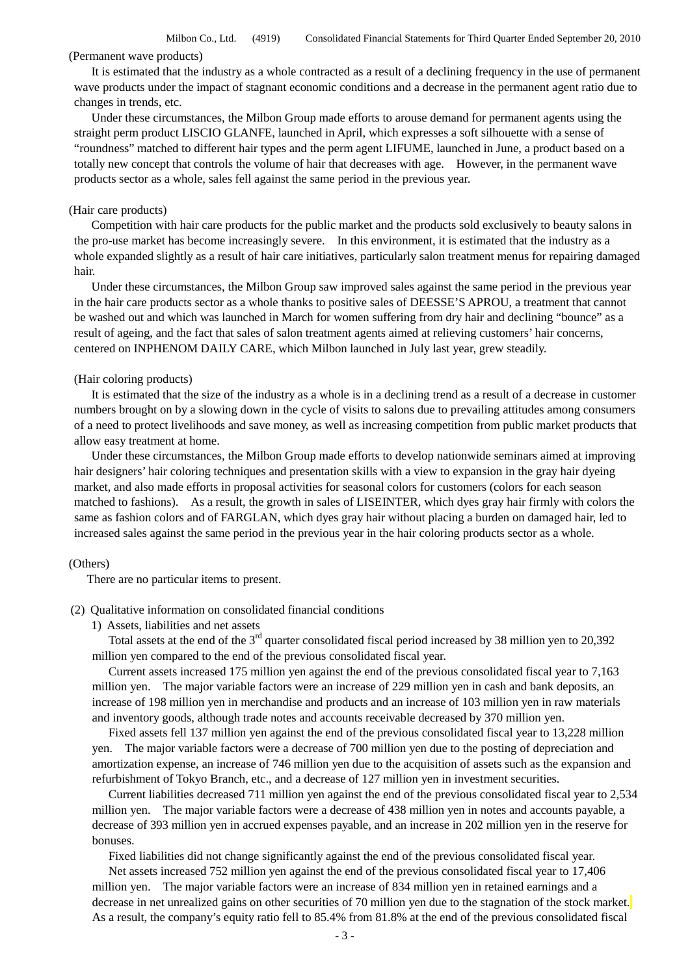Milbon Co., Ltd. (4919) Consolidated Financial Statements for Third Quarter Ended September 20, 2010

## (Permanent wave products)

It is estimated that the industry as a whole contracted as a result of a declining frequency in the use of permanent wave products under the impact of stagnant economic conditions and a decrease in the permanent agent ratio due to changes in trends, etc.

Under these circumstances, the Milbon Group made efforts to arouse demand for permanent agents using the straight perm product LISCIO GLANFE, launched in April, which expresses a soft silhouette with a sense of "roundness" matched to different hair types and the perm agent LIFUME, launched in June, a product based on a totally new concept that controls the volume of hair that decreases with age. However, in the permanent wave products sector as a whole, sales fell against the same period in the previous year.

#### (Hair care products)

Competition with hair care products for the public market and the products sold exclusively to beauty salons in the pro-use market has become increasingly severe. In this environment, it is estimated that the industry as a whole expanded slightly as a result of hair care initiatives, particularly salon treatment menus for repairing damaged hair.

Under these circumstances, the Milbon Group saw improved sales against the same period in the previous year in the hair care products sector as a whole thanks to positive sales of DEESSE'S APROU, a treatment that cannot be washed out and which was launched in March for women suffering from dry hair and declining "bounce" as a result of ageing, and the fact that sales of salon treatment agents aimed at relieving customers' hair concerns, centered on INPHENOM DAILY CARE, which Milbon launched in July last year, grew steadily.

#### (Hair coloring products)

It is estimated that the size of the industry as a whole is in a declining trend as a result of a decrease in customer numbers brought on by a slowing down in the cycle of visits to salons due to prevailing attitudes among consumers of a need to protect livelihoods and save money, as well as increasing competition from public market products that allow easy treatment at home.

Under these circumstances, the Milbon Group made efforts to develop nationwide seminars aimed at improving hair designers' hair coloring techniques and presentation skills with a view to expansion in the gray hair dyeing market, and also made efforts in proposal activities for seasonal colors for customers (colors for each season matched to fashions). As a result, the growth in sales of LISEINTER, which dyes gray hair firmly with colors the same as fashion colors and of FARGLAN, which dyes gray hair without placing a burden on damaged hair, led to increased sales against the same period in the previous year in the hair coloring products sector as a whole.

#### (Others)

There are no particular items to present.

#### (2) Qualitative information on consolidated financial conditions

1) Assets, liabilities and net assets

Total assets at the end of the 3<sup>rd</sup> quarter consolidated fiscal period increased by 38 million yen to 20,392 million yen compared to the end of the previous consolidated fiscal year.

Current assets increased 175 million yen against the end of the previous consolidated fiscal year to 7,163 million yen. The major variable factors were an increase of 229 million yen in cash and bank deposits, an increase of 198 million yen in merchandise and products and an increase of 103 million yen in raw materials and inventory goods, although trade notes and accounts receivable decreased by 370 million yen.

Fixed assets fell 137 million yen against the end of the previous consolidated fiscal year to 13,228 million yen. The major variable factors were a decrease of 700 million yen due to the posting of depreciation and amortization expense, an increase of 746 million yen due to the acquisition of assets such as the expansion and refurbishment of Tokyo Branch, etc., and a decrease of 127 million yen in investment securities.

Current liabilities decreased 711 million yen against the end of the previous consolidated fiscal year to 2,534 million yen. The major variable factors were a decrease of 438 million yen in notes and accounts payable, a decrease of 393 million yen in accrued expenses payable, and an increase in 202 million yen in the reserve for bonuses.

Fixed liabilities did not change significantly against the end of the previous consolidated fiscal year.

Net assets increased 752 million yen against the end of the previous consolidated fiscal year to 17,406 million yen. The major variable factors were an increase of 834 million yen in retained earnings and a decrease in net unrealized gains on other securities of 70 million yen due to the stagnation of the stock market. As a result, the company's equity ratio fell to 85.4% from 81.8% at the end of the previous consolidated fiscal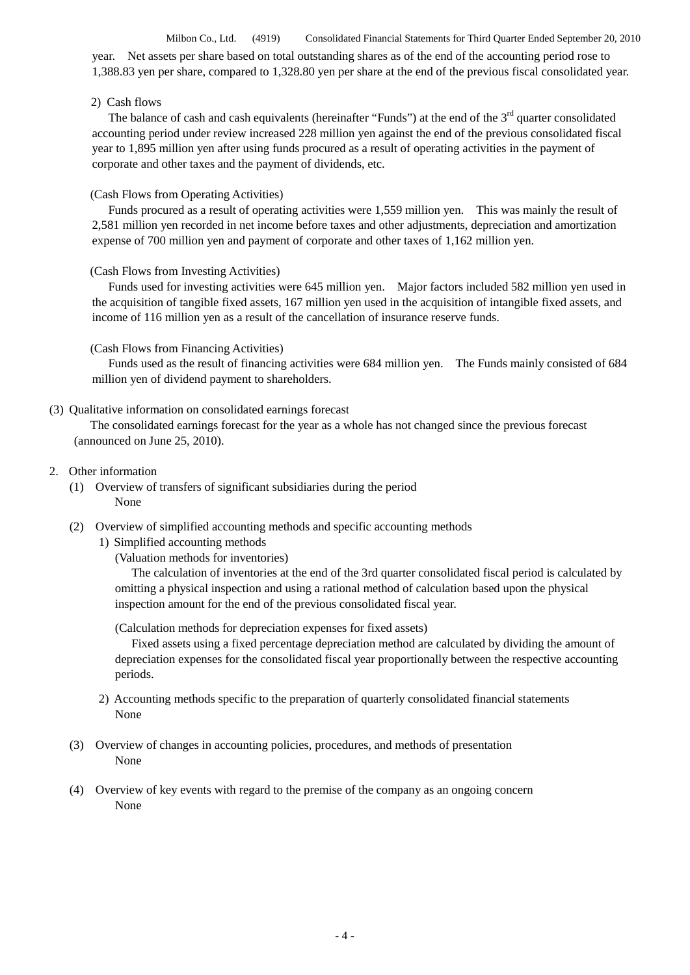Milbon Co., Ltd. (4919) Consolidated Financial Statements for Third Quarter Ended September 20, 2010 year. Net assets per share based on total outstanding shares as of the end of the accounting period rose to 1,388.83 yen per share, compared to 1,328.80 yen per share at the end of the previous fiscal consolidated year.

#### 2) Cash flows

The balance of cash and cash equivalents (hereinafter "Funds") at the end of the  $3<sup>rd</sup>$  quarter consolidated accounting period under review increased 228 million yen against the end of the previous consolidated fiscal year to 1,895 million yen after using funds procured as a result of operating activities in the payment of corporate and other taxes and the payment of dividends, etc.

#### (Cash Flows from Operating Activities)

Funds procured as a result of operating activities were 1,559 million yen. This was mainly the result of 2,581 million yen recorded in net income before taxes and other adjustments, depreciation and amortization expense of 700 million yen and payment of corporate and other taxes of 1,162 million yen.

#### (Cash Flows from Investing Activities)

Funds used for investing activities were 645 million yen. Major factors included 582 million yen used in the acquisition of tangible fixed assets, 167 million yen used in the acquisition of intangible fixed assets, and income of 116 million yen as a result of the cancellation of insurance reserve funds.

#### (Cash Flows from Financing Activities)

Funds used as the result of financing activities were 684 million yen. The Funds mainly consisted of 684 million yen of dividend payment to shareholders.

## (3) Qualitative information on consolidated earnings forecast

The consolidated earnings forecast for the year as a whole has not changed since the previous forecast (announced on June 25, 2010).

#### 2. Other information

(1) Overview of transfers of significant subsidiaries during the period None

#### (2) Overview of simplified accounting methods and specific accounting methods

#### 1) Simplified accounting methods

(Valuation methods for inventories)

The calculation of inventories at the end of the 3rd quarter consolidated fiscal period is calculated by omitting a physical inspection and using a rational method of calculation based upon the physical inspection amount for the end of the previous consolidated fiscal year.

(Calculation methods for depreciation expenses for fixed assets)

Fixed assets using a fixed percentage depreciation method are calculated by dividing the amount of depreciation expenses for the consolidated fiscal year proportionally between the respective accounting periods.

- 2) Accounting methods specific to the preparation of quarterly consolidated financial statements None
- (3) Overview of changes in accounting policies, procedures, and methods of presentation None
- (4) Overview of key events with regard to the premise of the company as an ongoing concern None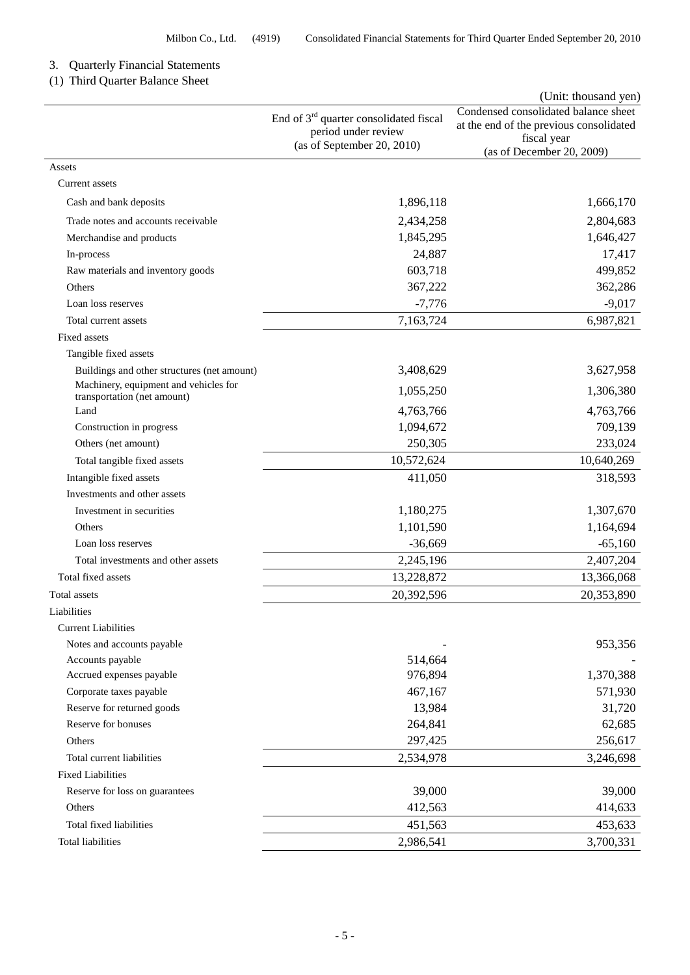## 3. Quarterly Financial Statements

## (1) Third Quarter Balance Sheet

|                                                                      |                                                                 | (Unit: thousand yen)                                                            |
|----------------------------------------------------------------------|-----------------------------------------------------------------|---------------------------------------------------------------------------------|
|                                                                      | End of $3rd$ quarter consolidated fiscal<br>period under review | Condensed consolidated balance sheet<br>at the end of the previous consolidated |
|                                                                      | (as of September 20, 2010)                                      | fiscal year<br>(as of December 20, 2009)                                        |
| Assets                                                               |                                                                 |                                                                                 |
| Current assets                                                       |                                                                 |                                                                                 |
| Cash and bank deposits                                               | 1,896,118                                                       | 1,666,170                                                                       |
| Trade notes and accounts receivable                                  | 2,434,258                                                       | 2,804,683                                                                       |
| Merchandise and products                                             | 1,845,295                                                       | 1,646,427                                                                       |
| In-process                                                           | 24,887                                                          | 17,417                                                                          |
| Raw materials and inventory goods                                    | 603,718                                                         | 499,852                                                                         |
| Others                                                               | 367,222                                                         | 362,286                                                                         |
| Loan loss reserves                                                   | $-7,776$                                                        | $-9,017$                                                                        |
| Total current assets                                                 | 7,163,724                                                       | 6,987,821                                                                       |
| Fixed assets                                                         |                                                                 |                                                                                 |
| Tangible fixed assets                                                |                                                                 |                                                                                 |
| Buildings and other structures (net amount)                          | 3,408,629                                                       | 3,627,958                                                                       |
| Machinery, equipment and vehicles for<br>transportation (net amount) | 1,055,250                                                       | 1,306,380                                                                       |
| Land                                                                 | 4,763,766                                                       | 4,763,766                                                                       |
| Construction in progress                                             | 1,094,672                                                       | 709,139                                                                         |
| Others (net amount)                                                  | 250,305                                                         | 233,024                                                                         |
| Total tangible fixed assets                                          | 10,572,624                                                      | 10,640,269                                                                      |
| Intangible fixed assets                                              | 411,050                                                         | 318,593                                                                         |
| Investments and other assets                                         |                                                                 |                                                                                 |
| Investment in securities                                             | 1,180,275                                                       | 1,307,670                                                                       |
| Others                                                               | 1,101,590                                                       | 1,164,694                                                                       |
| Loan loss reserves                                                   | $-36,669$                                                       | $-65,160$                                                                       |
| Total investments and other assets                                   | 2,245,196                                                       | 2,407,204                                                                       |
| Total fixed assets                                                   | 13,228,872                                                      | 13,366,068                                                                      |
| <b>Total</b> assets                                                  | 20,392,596                                                      | 20,353,890                                                                      |
| Liabilities                                                          |                                                                 |                                                                                 |
| <b>Current Liabilities</b>                                           |                                                                 |                                                                                 |
| Notes and accounts payable                                           |                                                                 | 953,356                                                                         |
| Accounts payable                                                     | 514,664                                                         |                                                                                 |
| Accrued expenses payable                                             | 976,894                                                         | 1,370,388                                                                       |
| Corporate taxes payable                                              | 467,167                                                         | 571,930                                                                         |
| Reserve for returned goods                                           | 13,984                                                          | 31,720                                                                          |
| Reserve for bonuses                                                  | 264,841                                                         | 62,685                                                                          |
| Others                                                               | 297,425                                                         | 256,617                                                                         |
| Total current liabilities                                            | 2,534,978                                                       | 3,246,698                                                                       |
| <b>Fixed Liabilities</b>                                             |                                                                 |                                                                                 |
| Reserve for loss on guarantees                                       | 39,000                                                          | 39,000                                                                          |
| Others                                                               | 412,563                                                         | 414,633                                                                         |
| Total fixed liabilities                                              | 451,563                                                         | 453,633                                                                         |
| <b>Total liabilities</b>                                             | 2,986,541                                                       | 3,700,331                                                                       |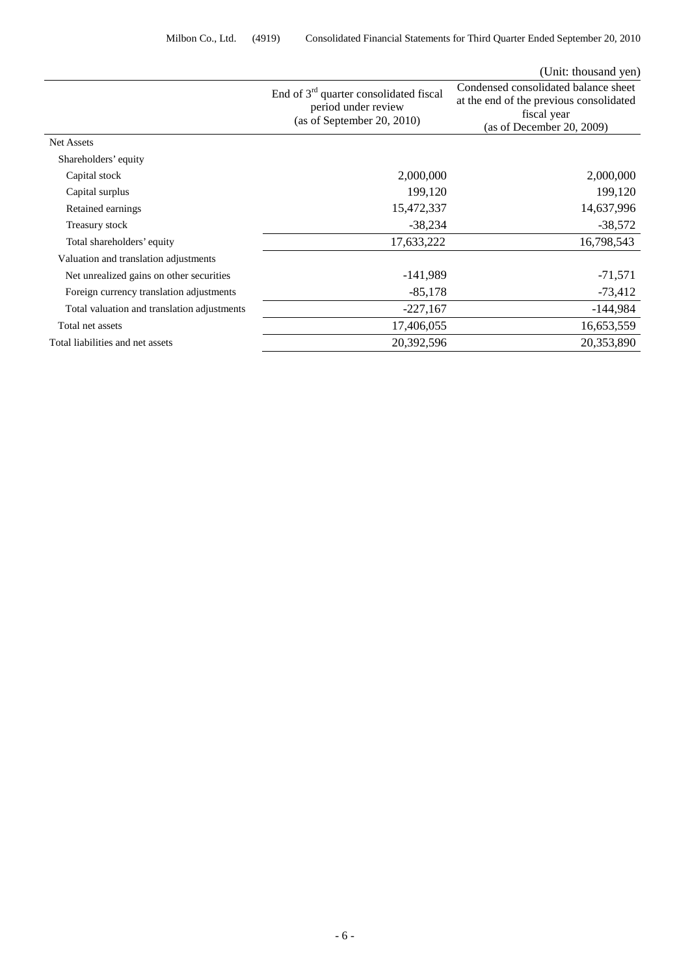|                                             |                                                                                               | (Unit: thousand yen)                                                                                                        |
|---------------------------------------------|-----------------------------------------------------------------------------------------------|-----------------------------------------------------------------------------------------------------------------------------|
|                                             | End of $3rd$ quarter consolidated fiscal<br>period under review<br>(as of September 20, 2010) | Condensed consolidated balance sheet<br>at the end of the previous consolidated<br>fiscal year<br>(as of December 20, 2009) |
| <b>Net Assets</b>                           |                                                                                               |                                                                                                                             |
| Shareholders' equity                        |                                                                                               |                                                                                                                             |
| Capital stock                               | 2,000,000                                                                                     | 2,000,000                                                                                                                   |
| Capital surplus                             | 199,120                                                                                       | 199,120                                                                                                                     |
| Retained earnings                           | 15,472,337                                                                                    | 14,637,996                                                                                                                  |
| Treasury stock                              | $-38,234$                                                                                     | $-38,572$                                                                                                                   |
| Total shareholders' equity                  | 17,633,222                                                                                    | 16,798,543                                                                                                                  |
| Valuation and translation adjustments       |                                                                                               |                                                                                                                             |
| Net unrealized gains on other securities    | $-141,989$                                                                                    | $-71,571$                                                                                                                   |
| Foreign currency translation adjustments    | $-85,178$                                                                                     | $-73,412$                                                                                                                   |
| Total valuation and translation adjustments | $-227,167$                                                                                    | $-144,984$                                                                                                                  |
| Total net assets                            | 17,406,055                                                                                    | 16,653,559                                                                                                                  |
| Total liabilities and net assets            | 20,392,596                                                                                    | 20,353,890                                                                                                                  |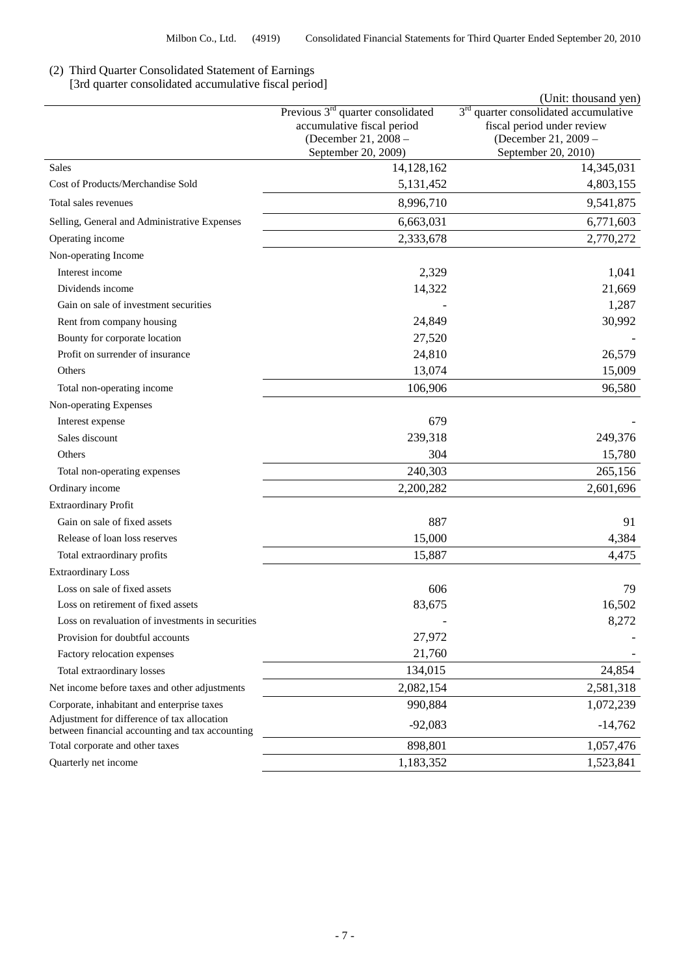# (2) Third Quarter Consolidated Statement of Earnings

[3rd quarter consolidated accumulative fiscal period]

|                                                                                                |                                                                                                                            | (Unit: thousand yen)                                                                                                 |
|------------------------------------------------------------------------------------------------|----------------------------------------------------------------------------------------------------------------------------|----------------------------------------------------------------------------------------------------------------------|
|                                                                                                | Previous 3 <sup>rd</sup> quarter consolidated<br>accumulative fiscal period<br>(December 21, 2008 -<br>September 20, 2009) | $3rd$ quarter consolidated accumulative<br>fiscal period under review<br>(December 21, 2009 -<br>September 20, 2010) |
| Sales                                                                                          | 14,128,162                                                                                                                 | 14,345,031                                                                                                           |
| Cost of Products/Merchandise Sold                                                              | 5,131,452                                                                                                                  | 4,803,155                                                                                                            |
| Total sales revenues                                                                           | 8,996,710                                                                                                                  | 9,541,875                                                                                                            |
| Selling, General and Administrative Expenses                                                   | 6,663,031                                                                                                                  | 6,771,603                                                                                                            |
| Operating income                                                                               | 2,333,678                                                                                                                  | 2,770,272                                                                                                            |
| Non-operating Income                                                                           |                                                                                                                            |                                                                                                                      |
| Interest income                                                                                | 2,329                                                                                                                      | 1,041                                                                                                                |
| Dividends income                                                                               | 14,322                                                                                                                     | 21,669                                                                                                               |
| Gain on sale of investment securities                                                          |                                                                                                                            | 1,287                                                                                                                |
| Rent from company housing                                                                      | 24,849                                                                                                                     | 30,992                                                                                                               |
| Bounty for corporate location                                                                  | 27,520                                                                                                                     |                                                                                                                      |
| Profit on surrender of insurance                                                               | 24,810                                                                                                                     | 26,579                                                                                                               |
| Others                                                                                         | 13,074                                                                                                                     | 15,009                                                                                                               |
| Total non-operating income                                                                     | 106,906                                                                                                                    | 96,580                                                                                                               |
| Non-operating Expenses                                                                         |                                                                                                                            |                                                                                                                      |
| Interest expense                                                                               | 679                                                                                                                        |                                                                                                                      |
| Sales discount                                                                                 | 239,318                                                                                                                    | 249,376                                                                                                              |
| Others                                                                                         | 304                                                                                                                        | 15,780                                                                                                               |
| Total non-operating expenses                                                                   | 240,303                                                                                                                    | 265,156                                                                                                              |
| Ordinary income                                                                                | 2,200,282                                                                                                                  | 2,601,696                                                                                                            |
| <b>Extraordinary Profit</b>                                                                    |                                                                                                                            |                                                                                                                      |
| Gain on sale of fixed assets                                                                   | 887                                                                                                                        | 91                                                                                                                   |
| Release of loan loss reserves                                                                  | 15,000                                                                                                                     | 4,384                                                                                                                |
| Total extraordinary profits                                                                    | 15,887                                                                                                                     | 4,475                                                                                                                |
| <b>Extraordinary Loss</b>                                                                      |                                                                                                                            |                                                                                                                      |
| Loss on sale of fixed assets                                                                   | 606                                                                                                                        | 79                                                                                                                   |
| Loss on retirement of fixed assets                                                             | 83,675                                                                                                                     | 16,502                                                                                                               |
| Loss on revaluation of investments in securities                                               |                                                                                                                            | 8,272                                                                                                                |
| Provision for doubtful accounts                                                                | 27,972                                                                                                                     |                                                                                                                      |
| Factory relocation expenses                                                                    | 21,760                                                                                                                     |                                                                                                                      |
| Total extraordinary losses                                                                     | 134,015                                                                                                                    | 24,854                                                                                                               |
| Net income before taxes and other adjustments                                                  | 2,082,154                                                                                                                  | 2,581,318                                                                                                            |
| Corporate, inhabitant and enterprise taxes                                                     | 990,884                                                                                                                    | 1,072,239                                                                                                            |
| Adjustment for difference of tax allocation<br>between financial accounting and tax accounting | $-92,083$                                                                                                                  | $-14,762$                                                                                                            |
| Total corporate and other taxes                                                                | 898,801                                                                                                                    | 1,057,476                                                                                                            |
| Quarterly net income                                                                           | 1,183,352                                                                                                                  | 1,523,841                                                                                                            |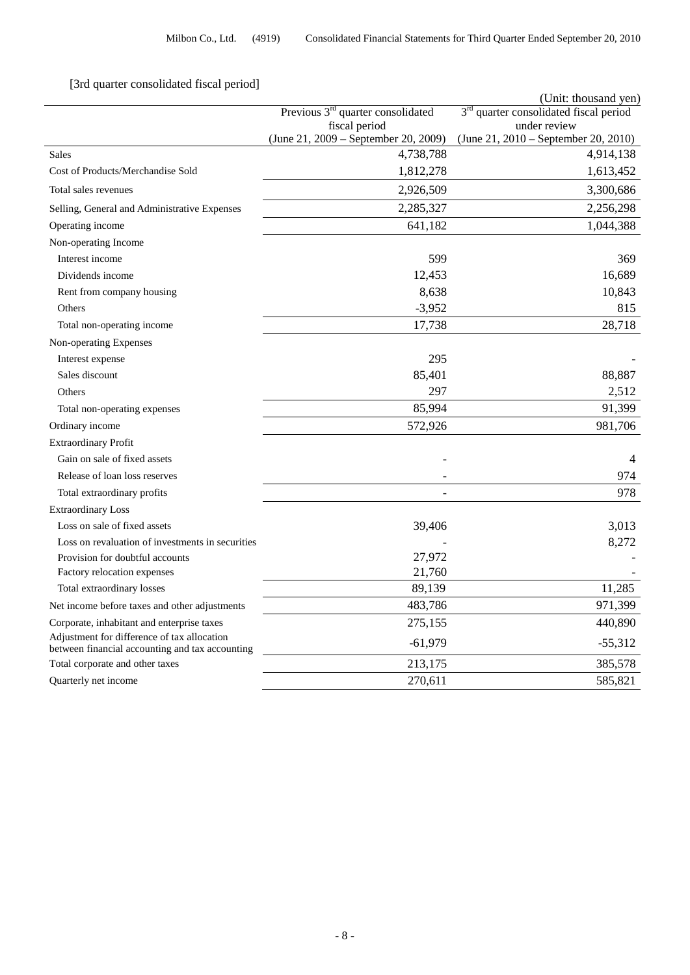# [3rd quarter consolidated fiscal period]

| <b>Sta quarter consonauted fiscar</b> p                                                        |                                                      | (Unit: thousand yen)                                               |
|------------------------------------------------------------------------------------------------|------------------------------------------------------|--------------------------------------------------------------------|
|                                                                                                | Previous $3rd$ quarter consolidated<br>fiscal period | 3 <sup>rd</sup> quarter consolidated fiscal period<br>under review |
|                                                                                                | (June 21, 2009 – September 20, 2009)                 | (June 21, 2010 – September 20, 2010)                               |
| <b>Sales</b>                                                                                   | 4,738,788                                            | 4,914,138                                                          |
| Cost of Products/Merchandise Sold                                                              | 1,812,278                                            | 1,613,452                                                          |
| Total sales revenues                                                                           | 2,926,509                                            | 3,300,686                                                          |
| Selling, General and Administrative Expenses                                                   | 2,285,327                                            | 2,256,298                                                          |
| Operating income                                                                               | 641,182                                              | 1,044,388                                                          |
| Non-operating Income                                                                           |                                                      |                                                                    |
| Interest income                                                                                | 599                                                  | 369                                                                |
| Dividends income                                                                               | 12,453                                               | 16,689                                                             |
| Rent from company housing                                                                      | 8,638                                                | 10,843                                                             |
| Others                                                                                         | $-3,952$                                             | 815                                                                |
| Total non-operating income                                                                     | 17,738                                               | 28,718                                                             |
| Non-operating Expenses                                                                         |                                                      |                                                                    |
| Interest expense                                                                               | 295                                                  |                                                                    |
| Sales discount                                                                                 | 85,401                                               | 88,887                                                             |
| Others                                                                                         | 297                                                  | 2,512                                                              |
| Total non-operating expenses                                                                   | 85,994                                               | 91,399                                                             |
| Ordinary income                                                                                | 572,926                                              | 981,706                                                            |
| <b>Extraordinary Profit</b>                                                                    |                                                      |                                                                    |
| Gain on sale of fixed assets                                                                   |                                                      | $\overline{4}$                                                     |
| Release of loan loss reserves                                                                  |                                                      | 974                                                                |
| Total extraordinary profits                                                                    |                                                      | 978                                                                |
| <b>Extraordinary Loss</b>                                                                      |                                                      |                                                                    |
| Loss on sale of fixed assets                                                                   | 39,406                                               | 3,013                                                              |
| Loss on revaluation of investments in securities                                               |                                                      | 8,272                                                              |
| Provision for doubtful accounts                                                                | 27,972                                               |                                                                    |
| Factory relocation expenses                                                                    | 21,760                                               |                                                                    |
| Total extraordinary losses                                                                     | 89,139                                               | 11,285                                                             |
| Net income before taxes and other adjustments                                                  | 483,786                                              | 971,399                                                            |
| Corporate, inhabitant and enterprise taxes                                                     | 275,155                                              | 440,890                                                            |
| Adjustment for difference of tax allocation<br>between financial accounting and tax accounting | $-61,979$                                            | $-55,312$                                                          |
| Total corporate and other taxes                                                                | 213,175                                              | 385,578                                                            |
| Quarterly net income                                                                           | 270,611                                              | 585,821                                                            |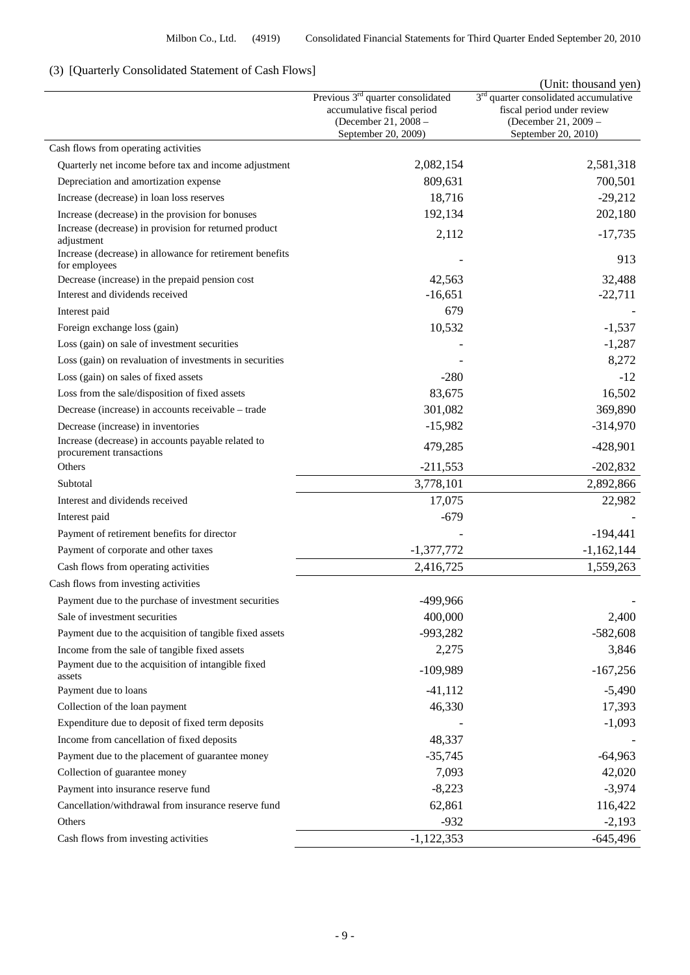## (3) [Quarterly Consolidated Statement of Cash Flows]

|                                                                                          | Previous 3 <sup>rd</sup> quarter consolidated<br>accumulative fiscal period<br>(December 21, 2008 -<br>September 20, 2009) | (Unit: thousand yen)<br>3 <sup>rd</sup> quarter consolidated accumulative<br>fiscal period under review<br>(December 21, 2009 -<br>September 20, 2010) |
|------------------------------------------------------------------------------------------|----------------------------------------------------------------------------------------------------------------------------|--------------------------------------------------------------------------------------------------------------------------------------------------------|
| Cash flows from operating activities                                                     |                                                                                                                            |                                                                                                                                                        |
| Quarterly net income before tax and income adjustment                                    | 2,082,154                                                                                                                  | 2,581,318                                                                                                                                              |
| Depreciation and amortization expense                                                    | 809,631                                                                                                                    | 700,501                                                                                                                                                |
| Increase (decrease) in loan loss reserves                                                | 18,716                                                                                                                     | $-29,212$                                                                                                                                              |
| Increase (decrease) in the provision for bonuses                                         | 192,134                                                                                                                    | 202,180                                                                                                                                                |
| Increase (decrease) in provision for returned product<br>adjustment                      | 2,112                                                                                                                      | $-17,735$                                                                                                                                              |
| Increase (decrease) in allowance for retirement benefits<br>for employees                |                                                                                                                            | 913                                                                                                                                                    |
| Decrease (increase) in the prepaid pension cost                                          | 42,563                                                                                                                     | 32,488                                                                                                                                                 |
| Interest and dividends received                                                          | $-16,651$                                                                                                                  | $-22,711$                                                                                                                                              |
| Interest paid                                                                            | 679                                                                                                                        |                                                                                                                                                        |
| Foreign exchange loss (gain)                                                             | 10,532                                                                                                                     | $-1,537$                                                                                                                                               |
| Loss (gain) on sale of investment securities                                             |                                                                                                                            | $-1,287$                                                                                                                                               |
| Loss (gain) on revaluation of investments in securities                                  |                                                                                                                            | 8,272                                                                                                                                                  |
| Loss (gain) on sales of fixed assets                                                     | $-280$                                                                                                                     | $-12$                                                                                                                                                  |
| Loss from the sale/disposition of fixed assets                                           | 83,675                                                                                                                     | 16,502                                                                                                                                                 |
| Decrease (increase) in accounts receivable – trade                                       | 301,082                                                                                                                    | 369,890                                                                                                                                                |
| Decrease (increase) in inventories<br>Increase (decrease) in accounts payable related to | $-15,982$                                                                                                                  | $-314,970$                                                                                                                                             |
| procurement transactions                                                                 | 479,285                                                                                                                    | $-428,901$                                                                                                                                             |
| Others                                                                                   | $-211,553$                                                                                                                 | $-202,832$                                                                                                                                             |
| Subtotal                                                                                 | 3,778,101                                                                                                                  | 2,892,866                                                                                                                                              |
| Interest and dividends received                                                          | 17,075                                                                                                                     | 22,982                                                                                                                                                 |
| Interest paid                                                                            | $-679$                                                                                                                     |                                                                                                                                                        |
| Payment of retirement benefits for director                                              |                                                                                                                            | $-194,441$                                                                                                                                             |
| Payment of corporate and other taxes                                                     | $-1,377,772$                                                                                                               | $-1,162,144$                                                                                                                                           |
| Cash flows from operating activities                                                     | 2,416,725                                                                                                                  | 1,559,263                                                                                                                                              |
| Cash flows from investing activities                                                     |                                                                                                                            |                                                                                                                                                        |
| Payment due to the purchase of investment securities                                     | -499,966                                                                                                                   |                                                                                                                                                        |
| Sale of investment securities                                                            | 400,000                                                                                                                    | 2,400                                                                                                                                                  |
| Payment due to the acquisition of tangible fixed assets                                  | $-993,282$                                                                                                                 | $-582,608$                                                                                                                                             |
| Income from the sale of tangible fixed assets                                            | 2,275                                                                                                                      | 3,846                                                                                                                                                  |
| Payment due to the acquisition of intangible fixed<br>assets                             | $-109,989$                                                                                                                 | $-167,256$                                                                                                                                             |
| Payment due to loans                                                                     | $-41, 112$                                                                                                                 | $-5,490$                                                                                                                                               |
| Collection of the loan payment                                                           | 46,330                                                                                                                     | 17,393                                                                                                                                                 |
| Expenditure due to deposit of fixed term deposits                                        |                                                                                                                            | $-1,093$                                                                                                                                               |
| Income from cancellation of fixed deposits                                               | 48,337                                                                                                                     |                                                                                                                                                        |
| Payment due to the placement of guarantee money                                          | $-35,745$                                                                                                                  | $-64,963$                                                                                                                                              |
| Collection of guarantee money                                                            | 7,093                                                                                                                      | 42,020                                                                                                                                                 |
| Payment into insurance reserve fund                                                      | $-8,223$                                                                                                                   | $-3,974$                                                                                                                                               |
| Cancellation/withdrawal from insurance reserve fund                                      | 62,861                                                                                                                     | 116,422                                                                                                                                                |
| Others                                                                                   | $-932$                                                                                                                     | $-2,193$                                                                                                                                               |
| Cash flows from investing activities                                                     | $-1,122,353$                                                                                                               | $-645,496$                                                                                                                                             |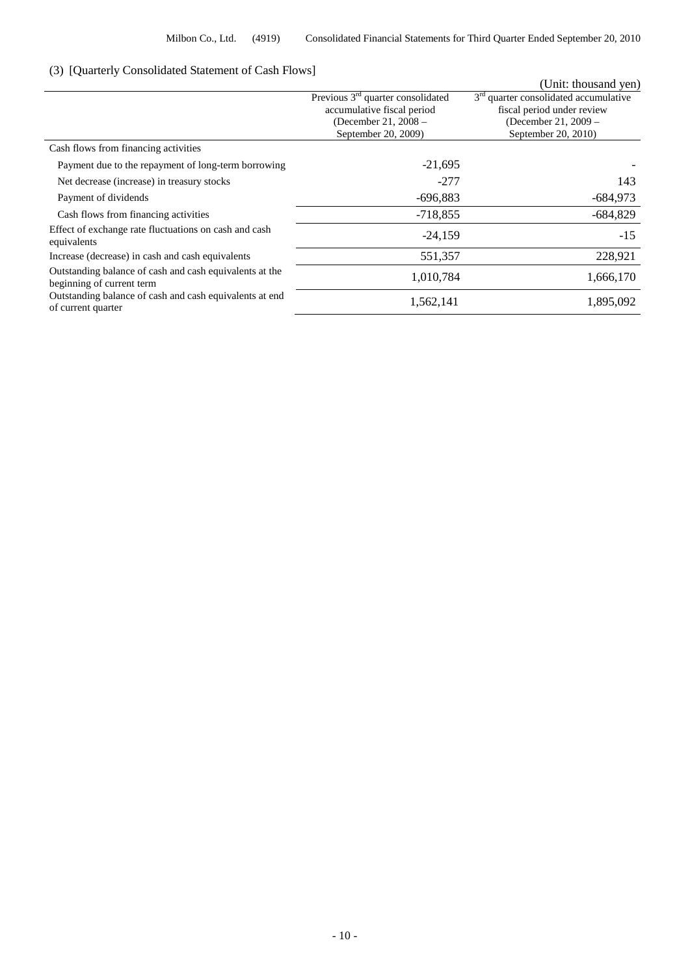## (3) [Quarterly Consolidated Statement of Cash Flows]

| (3) TOutholdy Consonation Diatoment of Cash Flows                                    |                                               |                                         |
|--------------------------------------------------------------------------------------|-----------------------------------------------|-----------------------------------------|
|                                                                                      |                                               | (Unit: thousand yen)                    |
|                                                                                      | Previous 3 <sup>rd</sup> quarter consolidated | $3rd$ quarter consolidated accumulative |
|                                                                                      | accumulative fiscal period                    | fiscal period under review              |
|                                                                                      | (December 21, 2008 -                          | (December 21, 2009 –                    |
|                                                                                      | September 20, 2009)                           | September 20, 2010)                     |
| Cash flows from financing activities                                                 |                                               |                                         |
| Payment due to the repayment of long-term borrowing                                  | $-21,695$                                     |                                         |
| Net decrease (increase) in treasury stocks                                           | $-277$                                        | 143                                     |
| Payment of dividends                                                                 | $-696,883$                                    | $-684,973$                              |
| Cash flows from financing activities                                                 | $-718,855$                                    | $-684,829$                              |
| Effect of exchange rate fluctuations on cash and cash<br>equivalents                 | $-24,159$                                     | $-15$                                   |
| Increase (decrease) in cash and cash equivalents                                     | 551,357                                       | 228,921                                 |
| Outstanding balance of cash and cash equivalents at the<br>beginning of current term | 1,010,784                                     | 1,666,170                               |
| Outstanding balance of cash and cash equivalents at end<br>of current quarter        | 1,562,141                                     | 1,895,092                               |